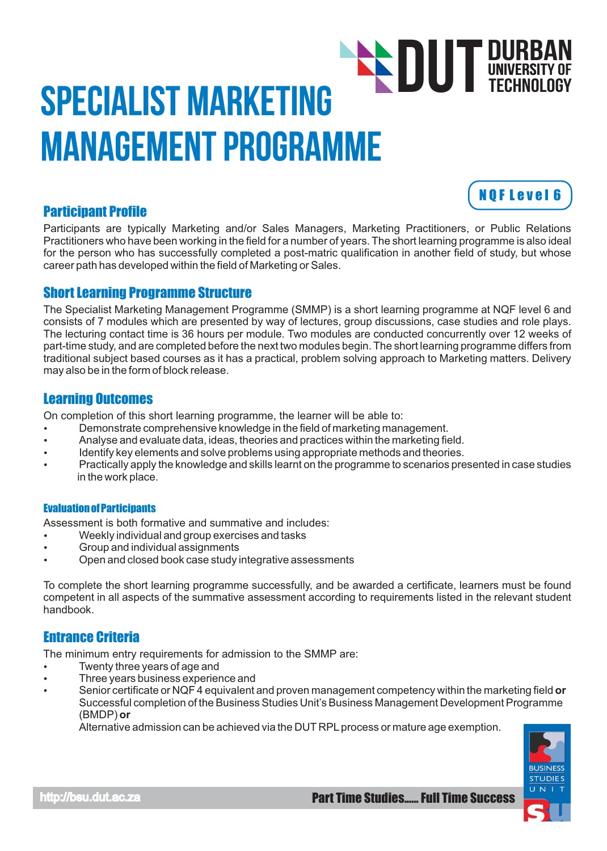# Specialist Marketing Management Programme **DUT DURBAN**<br>TECHNOLOGY TECHNOLOGY

# Participant Profile

Participants are typically Marketing and/or Sales Managers, Marketing Practitioners, or Public Relations Practitioners who have been working in the field for a number of years. The short learning programme is also ideal for the person who has successfully completed a post-matric qualification in another field of study, but whose career path has developed within the field of Marketing or Sales.

# Short Learning Programme Structure

The Specialist Marketing Management Programme (SMMP) is a short learning programme at NQF level 6 and consists of 7 modules which are presented by way of lectures, group discussions, case studies and role plays. The lecturing contact time is 36 hours per module. Two modules are conducted concurrently over 12 weeks of part-time study, and are completed before the next two modules begin. The short learning programme differs from traditional subject based courses as it has a practical, problem solving approach to Marketing matters. Delivery may also be in the form of block release.

# Learning Outcomes

On completion of this short learning programme, the learner will be able to:

- $\bullet$  Demonstrate comprehensive knowledge in the field of marketing management.
- Analyse and evaluate data, ideas, theories and practices within the marketing field.
- Identify key elements and solve problems using appropriate methods and theories.
- Practically apply the knowledge and skills learnt on the programme to scenarios presented in case studies in the work place.

#### Evaluation of Participants

Assessment is both formative and summative and includes:

- Weekly individual and group exercises and tasks
- Group and individual assignments
- Open and closed book case study integrative assessments

To complete the short learning programme successfully, and be awarded a certificate, learners must be found competent in all aspects of the summative assessment according to requirements listed in the relevant student handbook.

# Entrance Criteria

The minimum entry requirements for admission to the SMMP are:

- Twenty three years of age and
- Three years business experience and
- Senior certificate or NQF 4 equivalent and proven management competency within the marketing field **or** Successful completion of the Business Studies Unit's Business Management Development Programme (BMDP) **or**

Alternative admission can be achieved via the DUT RPL process or mature age exemption.



N Q F L e v e l 6